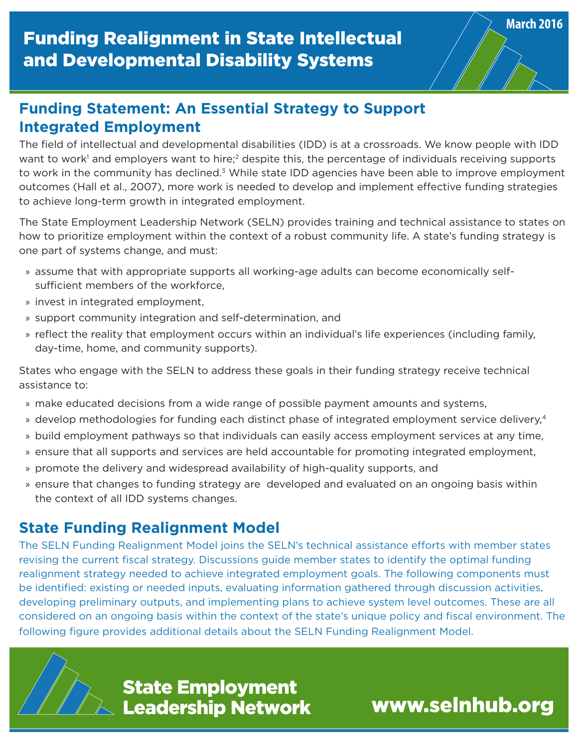The field of intellectual and developmental disabilities (IDD) is at a crossroads. We know people with IDD want to work<sup>1</sup> and employers want to hire;<sup>2</sup> despite this, the percentage of individuals receiving supports to work in the community has declined.<sup>3</sup> While state IDD agencies have been able to improve employment outcomes (Hall et al., 2007), more work is needed to develop and implement effective funding strategies to achieve long-term growth in integrated employment.

The State Employment Leadership Network (SELN) provides training and technical assistance to states on how to prioritize employment within the context of a robust community life. A state's funding strategy is one part of systems change, and must:

- » assume that with appropriate supports all working-age adults can become economically selfsufficient members of the workforce,
- » invest in integrated employment,
- » support community integration and self-determination, and
- » reflect the reality that employment occurs within an individual's life experiences (including family, day-time, home, and community supports).

States who engage with the SELN to address these goals in their funding strategy receive technical assistance to:

- » make educated decisions from a wide range of possible payment amounts and systems,
- » develop methodologies for funding each distinct phase of integrated employment service delivery,<sup>4</sup>
- » build employment pathways so that individuals can easily access employment services at any time,
- » ensure that all supports and services are held accountable for promoting integrated employment,
- » promote the delivery and widespread availability of high-quality supports, and
- » ensure that changes to funding strategy are developed and evaluated on an ongoing basis within the context of all IDD systems changes.

#### **State Funding Realignment Model**

The SELN Funding Realignment Model joins the SELN's technical assistance efforts with member states revising the current fiscal strategy. Discussions guide member states to identify the optimal funding realignment strategy needed to achieve integrated employment goals. The following components must be identified: existing or needed inputs, evaluating information gathered through discussion activities, developing preliminary outputs, and implementing plans to achieve system level outcomes. These are all considered on an ongoing basis within the context of the state's unique policy and fiscal environment. The following figure provides additional details about the SELN Funding Realignment Model.



**State Employment<br>Leadership Network Mark William William State Employment** Leadership Network

**March 2016**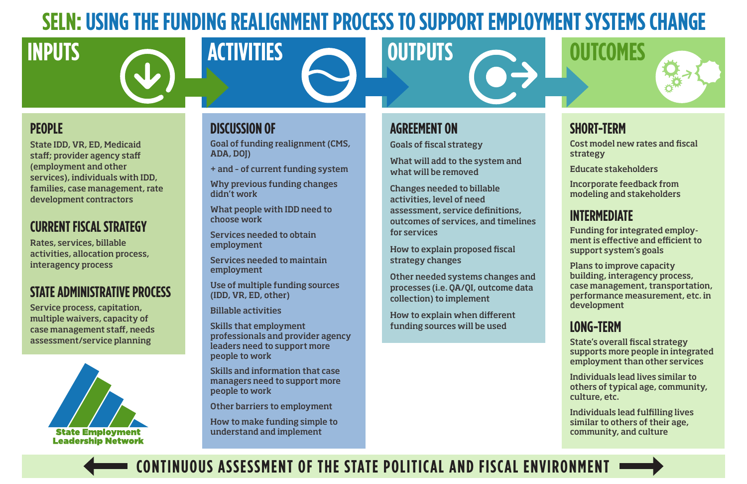

State IDD, VR, ED, Medicaid staff; provider agency staff (employment and other services), individuals with IDD, families, case management, rate development contractors

# **CURRENT FISCAL STRATEGY**

Rates, services, billable activities, allocation process, interagency process

# **STATE ADMINISTRATIVE PROCESS**

Service process, capitation, multiple waivers, capacity of case management staff, needs assessment/service planning



### **DISCUSSION OF**

Goal of funding realignment (CMS, ADA, DOJ)

+ and – of current funding system

Why previous funding changes didn't work

What people with IDD need to choose work

Services needed to obtain employment

Services needed to maintain employment

Use of multiple funding sources (IDD, VR, ED, other)

Billable activities

Skills that employment professionals and provider agency leaders need to support more people to work

Skills and information that case managers need to support more people to work

Other barriers to employment

How to make funding simple to understand and implement

**SHORT-TERM**

Cost model new rates and fiscal strategy

Educate stakeholders

Incorporate feedback from modeling and stakeholders

## **INTERMEDIATE**

Funding for integrated employment is effective and efficient to support system's goals

Plans to improve capacity building, interagency process, case management, transportation, performance measurement, etc. in development

# **LONG-TERM**

State's overall fiscal strategy supports more people in integrated employment than other services

Individuals lead lives similar to others of typical age, community, culture, etc.

Individuals lead fulfilling lives similar to others of their age, community, and culture

# **AGREEMENT ON**

Goals of fiscal strategy

What will add to the system and what will be removed

Changes needed to billable activities, level of need assessment, service definitions, outcomes of services, and timelines for services

How to explain proposed fiscal strategy changes

Other needed systems changes and processes (i.e. QA/QI, outcome data collection) to implement

How to explain when different funding sources will be used



# **SELN: USING THE FUNDING REALIGNMENT PROCESS TO SUPPORT EMPLOYMENT SYSTEMS CHANGE**

# **CONTINUOUS ASSESSMENT OF THE STATE POLITICAL AND FISCAL ENVIRONMENT**